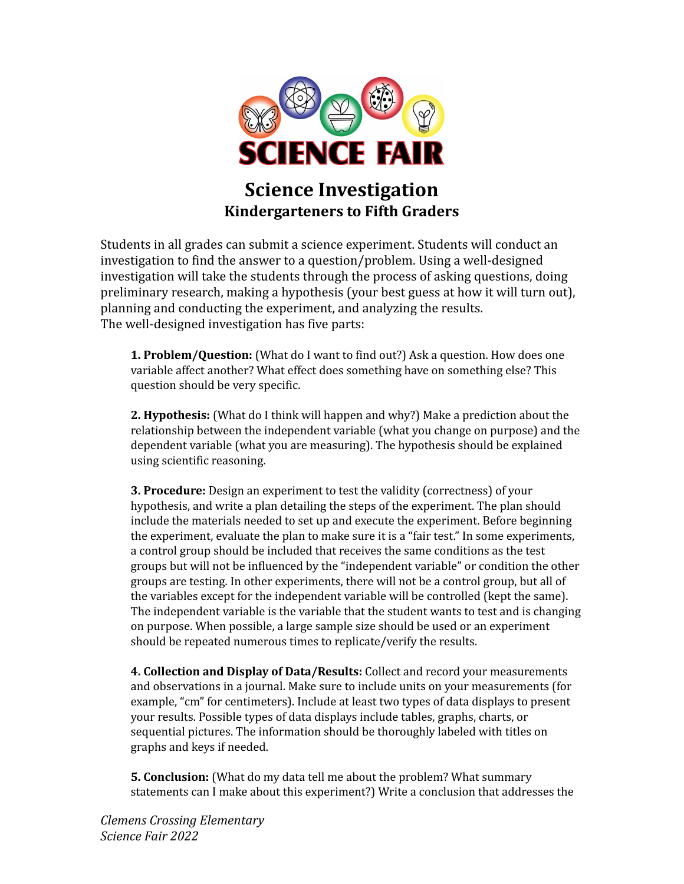

# **Science Investigation Kindergarteners to Fifth Graders**

Students in all grades can submit a science experiment. Students will conduct an investigation to find the answer to a question/problem. Using a well-designed investigation will take the students through the process of asking questions, doing preliminary research, making a hypothesis (your best guess at how it will turn out), planning and conducting the experiment, and analyzing the results. The well-designed investigation has five parts:

**1. Problem/Question:** (What do I want to find out?) Ask a question. How does one variable affect another? What effect does something have on something else? This question should be very specific.

**2. Hypothesis:** (What do I think will happen and why?) Make a prediction about the relationship between the independent variable (what you change on purpose) and the dependent variable (what you are measuring). The hypothesis should be explained using scientific reasoning.

**3. Procedure:** Design an experiment to test the validity (correctness) of your hypothesis, and write a plan detailing the steps of the experiment. The plan should include the materials needed to set up and execute the experiment. Before beginning the experiment, evaluate the plan to make sure it is a "fair test." In some experiments, a control group should be included that receives the same conditions as the test groups but will not be influenced by the "independent variable" or condition the other groups are testing. In other experiments, there will not be a control group, but all of the variables except for the independent variable will be controlled (kept the same). The independent variable is the variable that the student wants to test and is changing on purpose. When possible, a large sample size should be used or an experiment should be repeated numerous times to replicate/verify the results.

**4. Collection and Display of Data/Results:** Collect and record your measurements and observations in a journal. Make sure to include units on your measurements (for example, "cm" for centimeters). Include at least two types of data displays to present your results. Possible types of data displays include tables, graphs, charts, or sequential pictures. The information should be thoroughly labeled with titles on graphs and keys if needed.

**5. Conclusion:** (What do my data tell me about the problem? What summary statements can I make about this experiment?) Write a conclusion that addresses the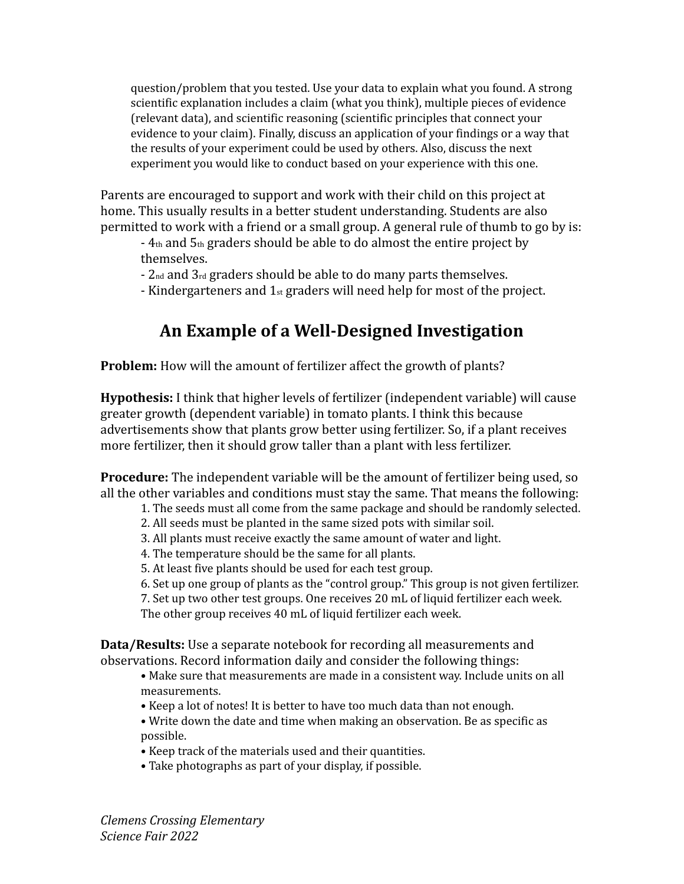question/problem that you tested. Use your data to explain what you found. A strong scientific explanation includes a claim (what you think), multiple pieces of evidence (relevant data), and scientific reasoning (scientific principles that connect your evidence to your claim). Finally, discuss an application of your findings or a way that the results of your experiment could be used by others. Also, discuss the next experiment you would like to conduct based on your experience with this one.

Parents are encouraged to support and work with their child on this project at home. This usually results in a better student understanding. Students are also permitted to work with a friend or a small group. A general rule of thumb to go by is:

- 4th and 5th graders should be able to do almost the entire project by themselves.

- 2nd and 3rd graders should be able to do many parts themselves.

- Kindergarteners and  $1_{st}$  graders will need help for most of the project.

## **An Example of a Well-Designed Investigation**

**Problem:** How will the amount of fertilizer affect the growth of plants?

**Hypothesis:** I think that higher levels of fertilizer (independent variable) will cause greater growth (dependent variable) in tomato plants. I think this because advertisements show that plants grow better using fertilizer. So, if a plant receives more fertilizer, then it should grow taller than a plant with less fertilizer.

**Procedure:** The independent variable will be the amount of fertilizer being used, so all the other variables and conditions must stay the same. That means the following:

- 1. The seeds must all come from the same package and should be randomly selected.
- 2. All seeds must be planted in the same sized pots with similar soil.
- 3. All plants must receive exactly the same amount of water and light.
- 4. The temperature should be the same for all plants.
- 5. At least five plants should be used for each test group.
- 6. Set up one group of plants as the "control group." This group is not given fertilizer.
- 7. Set up two other test groups. One receives 20 mL of liquid fertilizer each week.

The other group receives 40 mL of liquid fertilizer each week.

**Data/Results:** Use a separate notebook for recording all measurements and observations. Record information daily and consider the following things:

- Make sure that measurements are made in a consistent way. Include units on all measurements.
- Keep a lot of notes! It is better to have too much data than not enough.
- Write down the date and time when making an observation. Be as specific as possible.
- Keep track of the materials used and their quantities.
- Take photographs as part of your display, if possible.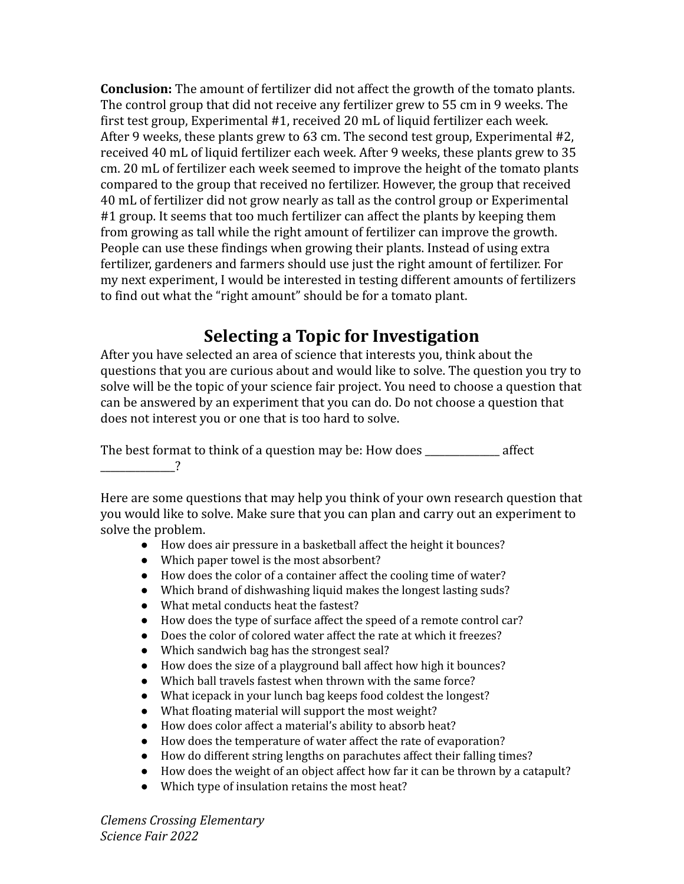**Conclusion:** The amount of fertilizer did not affect the growth of the tomato plants. The control group that did not receive any fertilizer grew to 55 cm in 9 weeks. The first test group, Experimental #1, received 20 mL of liquid fertilizer each week. After 9 weeks, these plants grew to 63 cm. The second test group, Experimental #2, received 40 mL of liquid fertilizer each week. After 9 weeks, these plants grew to 35 cm. 20 mL of fertilizer each week seemed to improve the height of the tomato plants compared to the group that received no fertilizer. However, the group that received 40 mL of fertilizer did not grow nearly as tall as the control group or Experimental #1 group. It seems that too much fertilizer can affect the plants by keeping them from growing as tall while the right amount of fertilizer can improve the growth. People can use these findings when growing their plants. Instead of using extra fertilizer, gardeners and farmers should use just the right amount of fertilizer. For my next experiment, I would be interested in testing different amounts of fertilizers to find out what the "right amount" should be for a tomato plant.

## **Selecting a Topic for Investigation**

After you have selected an area of science that interests you, think about the questions that you are curious about and would like to solve. The question you try to solve will be the topic of your science fair project. You need to choose a question that can be answered by an experiment that you can do. Do not choose a question that does not interest you or one that is too hard to solve.

The best format to think of a question may be: How does \_\_\_\_\_\_\_\_\_\_\_\_\_\_\_ affect  $\overline{\phantom{a}}$ 

Here are some questions that may help you think of your own research question that you would like to solve. Make sure that you can plan and carry out an experiment to solve the problem.

- How does air pressure in a basketball affect the height it bounces?
- Which paper towel is the most absorbent?
- How does the color of a container affect the cooling time of water?
- Which brand of dishwashing liquid makes the longest lasting suds?
- What metal conducts heat the fastest?
- How does the type of surface affect the speed of a remote control car?
- Does the color of colored water affect the rate at which it freezes?
- Which sandwich bag has the strongest seal?
- How does the size of a playground ball affect how high it bounces?
- Which ball travels fastest when thrown with the same force?
- What icepack in your lunch bag keeps food coldest the longest?
- What floating material will support the most weight?
- How does color affect a material's ability to absorb heat?
- How does the temperature of water affect the rate of evaporation?
- How do different string lengths on parachutes affect their falling times?
- How does the weight of an object affect how far it can be thrown by a catapult?
- Which type of insulation retains the most heat?

*Clemens Crossing Elementary Science Fair 2022*